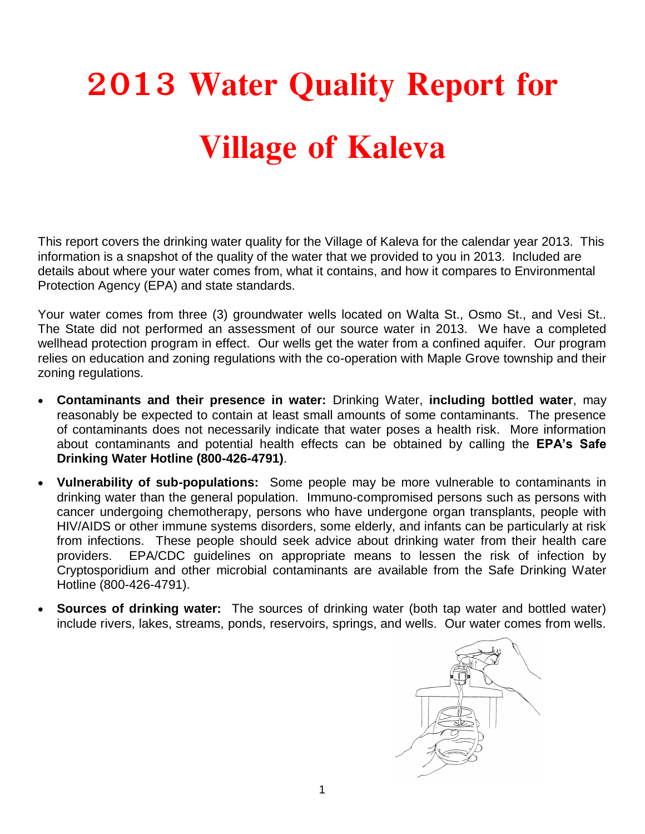## **2013 Water Quality Report for Village of Kaleva**

This report covers the drinking water quality for the Village of Kaleva for the calendar year 2013. This information is a snapshot of the quality of the water that we provided to you in 2013. Included are details about where your water comes from, what it contains, and how it compares to Environmental Protection Agency (EPA) and state standards.

Your water comes from three (3) groundwater wells located on Walta St., Osmo St., and Vesi St.. The State did not performed an assessment of our source water in 2013. We have a completed wellhead protection program in effect. Our wells get the water from a confined aquifer. Our program relies on education and zoning regulations with the co-operation with Maple Grove township and their zoning regulations.

- **Contaminants and their presence in water:** Drinking Water, **including bottled water**, may reasonably be expected to contain at least small amounts of some contaminants. The presence of contaminants does not necessarily indicate that water poses a health risk. More information about contaminants and potential health effects can be obtained by calling the **EPA's Safe Drinking Water Hotline (800-426-4791)**.
- **Vulnerability of sub-populations:** Some people may be more vulnerable to contaminants in drinking water than the general population. Immuno-compromised persons such as persons with cancer undergoing chemotherapy, persons who have undergone organ transplants, people with HIV/AIDS or other immune systems disorders, some elderly, and infants can be particularly at risk from infections. These people should seek advice about drinking water from their health care providers. EPA/CDC guidelines on appropriate means to lessen the risk of infection by Cryptosporidium and other microbial contaminants are available from the Safe Drinking Water Hotline (800-426-4791).
- **Sources of drinking water:** The sources of drinking water (both tap water and bottled water) include rivers, lakes, streams, ponds, reservoirs, springs, and wells. Our water comes from wells.

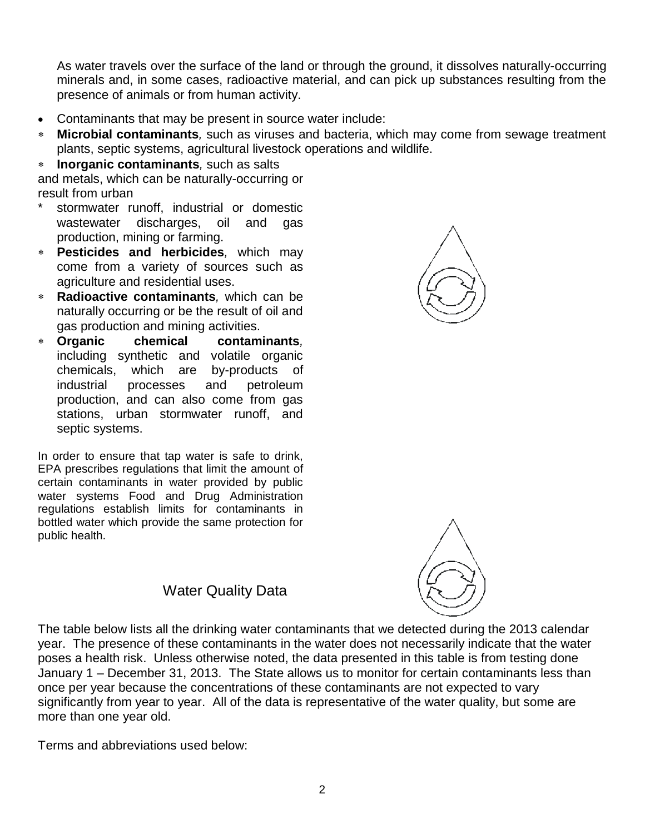As water travels over the surface of the land or through the ground, it dissolves naturally-occurring minerals and, in some cases, radioactive material, and can pick up substances resulting from the presence of animals or from human activity.

- Contaminants that may be present in source water include:
- **Microbial contaminants***,* such as viruses and bacteria, which may come from sewage treatment plants, septic systems, agricultural livestock operations and wildlife.

 **Inorganic contaminants***,* such as salts and metals, which can be naturally-occurring or result from urban

- stormwater runoff, industrial or domestic wastewater discharges, oil and gas production, mining or farming.
- **Pesticides and herbicides***,* which may come from a variety of sources such as agriculture and residential uses.
- **Radioactive contaminants***,* which can be naturally occurring or be the result of oil and gas production and mining activities.
- **Organic chemical contaminants***,*  including synthetic and volatile organic chemicals, which are by-products of industrial processes and petroleum production, and can also come from gas stations, urban stormwater runoff, and septic systems.

In order to ensure that tap water is safe to drink, EPA prescribes regulations that limit the amount of certain contaminants in water provided by public water systems Food and Drug Administration regulations establish limits for contaminants in bottled water which provide the same protection for public health.





## Water Quality Data

The table below lists all the drinking water contaminants that we detected during the 2013 calendar year. The presence of these contaminants in the water does not necessarily indicate that the water poses a health risk. Unless otherwise noted, the data presented in this table is from testing done January 1 – December 31, 2013. The State allows us to monitor for certain contaminants less than once per year because the concentrations of these contaminants are not expected to vary significantly from year to year. All of the data is representative of the water quality, but some are more than one year old.

Terms and abbreviations used below: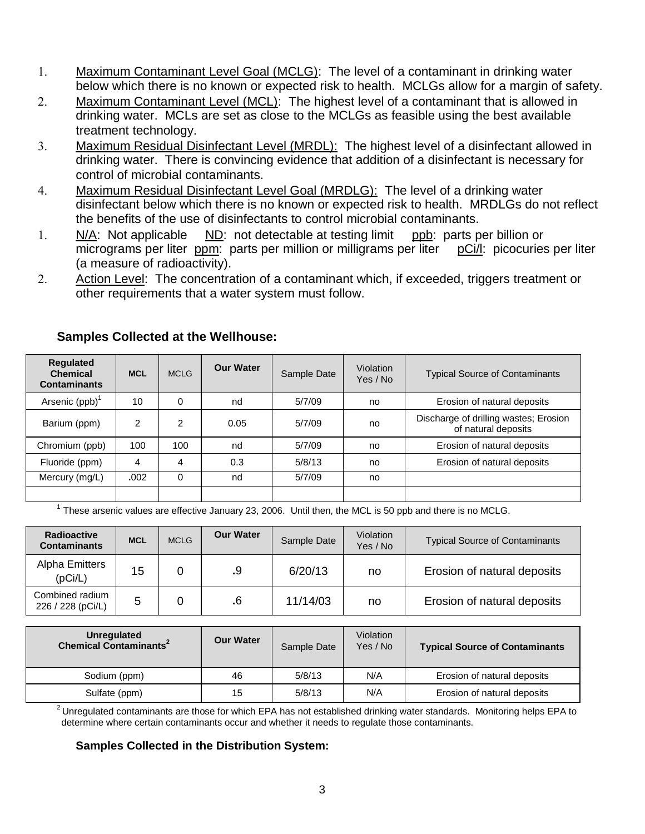- Maximum Contaminant Level Goal (MCLG): The level of a contaminant in drinking water below which there is no known or expected risk to health. MCLGs allow for a margin of safety.
- Maximum Contaminant Level (MCL): The highest level of a contaminant that is allowed in drinking water. MCLs are set as close to the MCLGs as feasible using the best available treatment technology.
- Maximum Residual Disinfectant Level (MRDL): The highest level of a disinfectant allowed in drinking water. There is convincing evidence that addition of a disinfectant is necessary for control of microbial contaminants.
- Maximum Residual Disinfectant Level Goal (MRDLG): The level of a drinking water disinfectant below which there is no known or expected risk to health. MRDLGs do not reflect the benefits of the use of disinfectants to control microbial contaminants.
- N/A: Not applicable ND: not detectable at testing limit ppb: parts per billion or micrograms per liter ppm: parts per million or milligrams per liter pCi/l: picocuries per liter (a measure of radioactivity).
- Action Level: The concentration of a contaminant which, if exceeded, triggers treatment or other requirements that a water system must follow.

| <b>Requlated</b><br><b>Chemical</b><br><b>Contaminants</b> | <b>MCL</b>     | <b>MCLG</b>    | <b>Our Water</b> | Sample Date | Violation<br>Yes / No | <b>Typical Source of Contaminants</b>                        |
|------------------------------------------------------------|----------------|----------------|------------------|-------------|-----------------------|--------------------------------------------------------------|
| Arsenic $(ppb)^1$                                          | 10             | 0              | nd               | 5/7/09      | no                    | Erosion of natural deposits                                  |
| Barium (ppm)                                               | $\mathfrak{p}$ | $\overline{2}$ | 0.05             | 5/7/09      | no                    | Discharge of drilling wastes; Erosion<br>of natural deposits |
| Chromium (ppb)                                             | 100            | 100            | nd               | 5/7/09      | no                    | Erosion of natural deposits                                  |
| Fluoride (ppm)                                             | 4              | 4              | 0.3              | 5/8/13      | no                    | Erosion of natural deposits                                  |
| Mercury (mg/L)                                             | .002           | $\Omega$       | nd               | 5/7/09      | no                    |                                                              |
|                                                            |                |                |                  |             |                       |                                                              |

## **Samples Collected at the Wellhouse:**

 $1$  These arsenic values are effective January 23, 2006. Until then, the MCL is 50 ppb and there is no MCLG.

| <b>Radioactive</b><br><b>Contaminants</b> | <b>MCL</b> | <b>MCLG</b> | <b>Our Water</b> | Sample Date | Violation<br>Yes / No | <b>Typical Source of Contaminants</b> |
|-------------------------------------------|------------|-------------|------------------|-------------|-----------------------|---------------------------------------|
| Alpha Emitters<br>(pCi/L)                 | 15         |             | .9               | 6/20/13     | no                    | Erosion of natural deposits           |
| Combined radium<br>226 / 228 (pCi/L)      |            |             | .6               | 11/14/03    | no                    | Erosion of natural deposits           |

| Unregulated<br><b>Chemical Contaminants<sup>2</sup></b> | <b>Our Water</b> | Sample Date | Violation<br>Yes / No | <b>Typical Source of Contaminants</b> |
|---------------------------------------------------------|------------------|-------------|-----------------------|---------------------------------------|
| Sodium (ppm)                                            | 46               | 5/8/13      | N/A                   | Erosion of natural deposits           |
| Sulfate (ppm)                                           | 15               | 5/8/13      | N/A                   | Erosion of natural deposits           |

 $2$  Unregulated contaminants are those for which EPA has not established drinking water standards. Monitoring helps EPA to determine where certain contaminants occur and whether it needs to regulate those contaminants.

## **Samples Collected in the Distribution System:**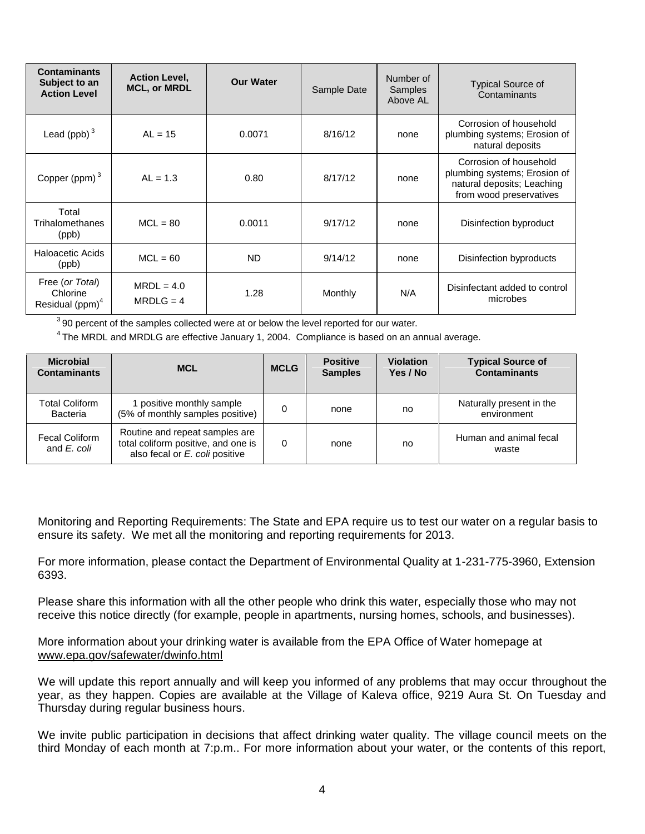| <b>Contaminants</b><br>Subject to an<br><b>Action Level</b> | <b>Action Level,</b><br><b>MCL, or MRDL</b> | <b>Our Water</b> | Sample Date | Number of<br>Samples<br>Above AL | <b>Typical Source of</b><br>Contaminants                                                                        |
|-------------------------------------------------------------|---------------------------------------------|------------------|-------------|----------------------------------|-----------------------------------------------------------------------------------------------------------------|
| Lead (ppb) $3$                                              | $AL = 15$                                   | 0.0071           | 8/16/12     | none                             | Corrosion of household<br>plumbing systems; Erosion of<br>natural deposits                                      |
| Copper (ppm) $3$                                            | $AL = 1.3$                                  | 0.80             | 8/17/12     | none                             | Corrosion of household<br>plumbing systems; Erosion of<br>natural deposits; Leaching<br>from wood preservatives |
| Total<br>Trihalomethanes<br>(ppb)                           | $MCL = 80$                                  | 0.0011           | 9/17/12     | none                             | Disinfection byproduct                                                                                          |
| <b>Haloacetic Acids</b><br>(ppb)                            | $MCL = 60$                                  | <b>ND</b>        | 9/14/12     | none                             | Disinfection byproducts                                                                                         |
| Free (or Total)<br>Chlorine<br>Residual (ppm) <sup>4</sup>  | $MRDL = 4.0$<br>$MRDLG = 4$                 | 1.28             | Monthly     | N/A                              | Disinfectant added to control<br>microbes                                                                       |

 $390$  percent of the samples collected were at or below the level reported for our water.

<sup>4</sup>The MRDL and MRDLG are effective January 1, 2004. Compliance is based on an annual average.

| <b>Microbial</b><br><b>Contaminants</b> | <b>MCL</b>                                                                                              | <b>MCLG</b> | <b>Positive</b><br><b>Samples</b> | <b>Violation</b><br>Yes / No | <b>Typical Source of</b><br><b>Contaminants</b> |
|-----------------------------------------|---------------------------------------------------------------------------------------------------------|-------------|-----------------------------------|------------------------------|-------------------------------------------------|
| <b>Total Coliform</b><br>Bacteria       | I positive monthly sample<br>(5% of monthly samples positive)                                           |             | none                              | no                           | Naturally present in the<br>environment         |
| <b>Fecal Coliform</b><br>and E. coli    | Routine and repeat samples are<br>total coliform positive, and one is<br>also fecal or E. coli positive | 0           | none                              | no                           | Human and animal fecal<br>waste                 |

Monitoring and Reporting Requirements: The State and EPA require us to test our water on a regular basis to ensure its safety. We met all the monitoring and reporting requirements for 2013.

For more information, please contact the Department of Environmental Quality at 1-231-775-3960, Extension 6393.

Please share this information with all the other people who drink this water, especially those who may not receive this notice directly (for example, people in apartments, nursing homes, schools, and businesses).

More information about your drinking water is available from the EPA Office of Water homepage at www.epa.gov/safewater/dwinfo.html

We will update this report annually and will keep you informed of any problems that may occur throughout the year, as they happen. Copies are available at the Village of Kaleva office, 9219 Aura St. On Tuesday and Thursday during regular business hours.

We invite public participation in decisions that affect drinking water quality. The village council meets on the third Monday of each month at 7:p.m.. For more information about your water, or the contents of this report,